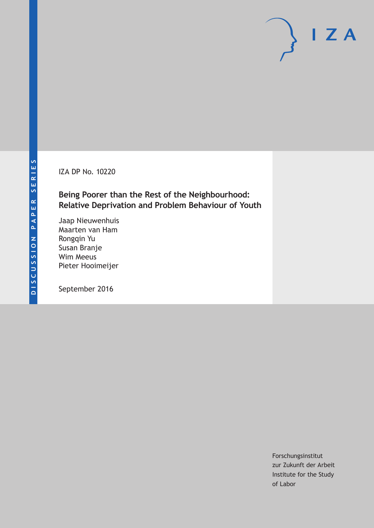IZA DP No. 10220

### **Being Poorer than the Rest of the Neighbourhood: Relative Deprivation and Problem Behaviour of Youth**

Jaap Nieuwenhuis Maarten van Ham Rongqin Yu Susan Branje Wim Meeus Pieter Hooimeijer

September 2016

Forschungsinstitut zur Zukunft der Arbeit Institute for the Study of Labor

 $I Z A$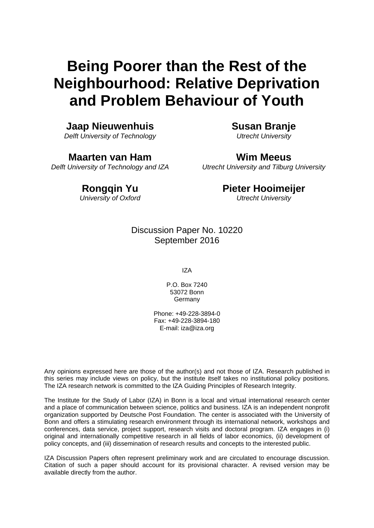# **Being Poorer than the Rest of the Neighbourhood: Relative Deprivation and Problem Behaviour of Youth**

### **Jaap Nieuwenhuis**

*Delft University of Technology* 

**Maarten van Ham**  *Delft University of Technology and IZA*  **Susan Branje**  *Utrecht University* 

**Wim Meeus**  *Utrecht University and Tilburg University* 

### **Rongqin Yu**

*University of Oxford*

### **Pieter Hooimeijer**

*Utrecht University*

Discussion Paper No. 10220 September 2016

IZA

P.O. Box 7240 53072 Bonn **Germany** 

Phone: +49-228-3894-0 Fax: +49-228-3894-180 E-mail: iza@iza.org

Any opinions expressed here are those of the author(s) and not those of IZA. Research published in this series may include views on policy, but the institute itself takes no institutional policy positions. The IZA research network is committed to the IZA Guiding Principles of Research Integrity.

The Institute for the Study of Labor (IZA) in Bonn is a local and virtual international research center and a place of communication between science, politics and business. IZA is an independent nonprofit organization supported by Deutsche Post Foundation. The center is associated with the University of Bonn and offers a stimulating research environment through its international network, workshops and conferences, data service, project support, research visits and doctoral program. IZA engages in (i) original and internationally competitive research in all fields of labor economics, (ii) development of policy concepts, and (iii) dissemination of research results and concepts to the interested public.

IZA Discussion Papers often represent preliminary work and are circulated to encourage discussion. Citation of such a paper should account for its provisional character. A revised version may be available directly from the author.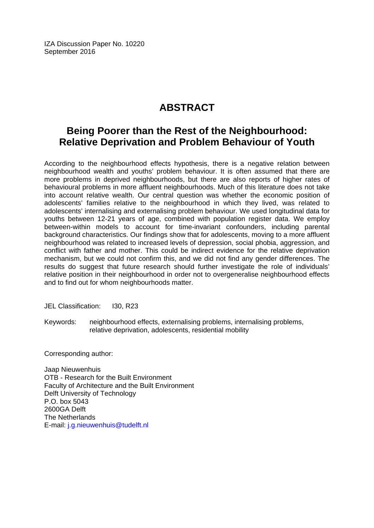IZA Discussion Paper No. 10220 September 2016

## **ABSTRACT**

### **Being Poorer than the Rest of the Neighbourhood: Relative Deprivation and Problem Behaviour of Youth**

According to the neighbourhood effects hypothesis, there is a negative relation between neighbourhood wealth and youths' problem behaviour. It is often assumed that there are more problems in deprived neighbourhoods, but there are also reports of higher rates of behavioural problems in more affluent neighbourhoods. Much of this literature does not take into account relative wealth. Our central question was whether the economic position of adolescents' families relative to the neighbourhood in which they lived, was related to adolescents' internalising and externalising problem behaviour. We used longitudinal data for youths between 12-21 years of age, combined with population register data. We employ between-within models to account for time-invariant confounders, including parental background characteristics. Our findings show that for adolescents, moving to a more affluent neighbourhood was related to increased levels of depression, social phobia, aggression, and conflict with father and mother. This could be indirect evidence for the relative deprivation mechanism, but we could not confirm this, and we did not find any gender differences. The results do suggest that future research should further investigate the role of individuals' relative position in their neighbourhood in order not to overgeneralise neighbourhood effects and to find out for whom neighbourhoods matter.

JEL Classification: I30, R23

Keywords: neighbourhood effects, externalising problems, internalising problems, relative deprivation, adolescents, residential mobility

Corresponding author:

Jaap Nieuwenhuis OTB - Research for the Built Environment Faculty of Architecture and the Built Environment Delft University of Technology P.O. box 5043 2600GA Delft The Netherlands E-mail: j.g.nieuwenhuis@tudelft.nl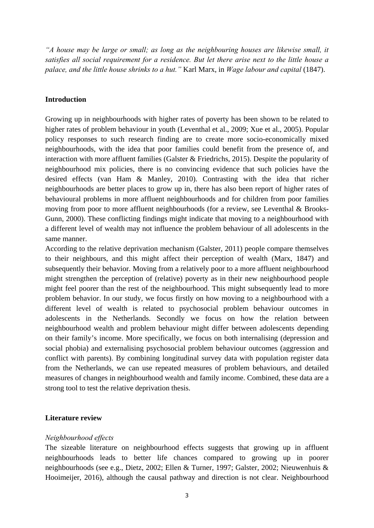*"A house may be large or small; as long as the neighbouring houses are likewise small, it satisfies all social requirement for a residence. But let there arise next to the little house a palace, and the little house shrinks to a hut."* Karl Marx, in *Wage labour and capital* (1847).

#### **Introduction**

Growing up in neighbourhoods with higher rates of poverty has been shown to be related to higher rates of problem behaviour in youth (Leventhal et al., 2009; Xue et al., 2005). Popular policy responses to such research finding are to create more socio-economically mixed neighbourhoods, with the idea that poor families could benefit from the presence of, and interaction with more affluent families (Galster & Friedrichs, 2015). Despite the popularity of neighbourhood mix policies, there is no convincing evidence that such policies have the desired effects (van Ham & Manley, 2010). Contrasting with the idea that richer neighbourhoods are better places to grow up in, there has also been report of higher rates of behavioural problems in more affluent neighbourhoods and for children from poor families moving from poor to more affluent neighbourhoods (for a review, see Leventhal & Brooks-Gunn, 2000). These conflicting findings might indicate that moving to a neighbourhood with a different level of wealth may not influence the problem behaviour of all adolescents in the same manner.

According to the relative deprivation mechanism (Galster, 2011) people compare themselves to their neighbours, and this might affect their perception of wealth (Marx, 1847) and subsequently their behavior. Moving from a relatively poor to a more affluent neighbourhood might strengthen the perception of (relative) poverty as in their new neighbourhood people might feel poorer than the rest of the neighbourhood. This might subsequently lead to more problem behavior. In our study, we focus firstly on how moving to a neighbourhood with a different level of wealth is related to psychosocial problem behaviour outcomes in adolescents in the Netherlands. Secondly we focus on how the relation between neighbourhood wealth and problem behaviour might differ between adolescents depending on their family's income. More specifically, we focus on both internalising (depression and social phobia) and externalising psychosocial problem behaviour outcomes (aggression and conflict with parents). By combining longitudinal survey data with population register data from the Netherlands, we can use repeated measures of problem behaviours, and detailed measures of changes in neighbourhood wealth and family income. Combined, these data are a strong tool to test the relative deprivation thesis.

#### **Literature review**

#### *Neighbourhood effects*

The sizeable literature on neighbourhood effects suggests that growing up in affluent neighbourhoods leads to better life chances compared to growing up in poorer neighbourhoods (see e.g., Dietz, 2002; Ellen & Turner, 1997; Galster, 2002; Nieuwenhuis & Hooimeijer, 2016), although the causal pathway and direction is not clear. Neighbourhood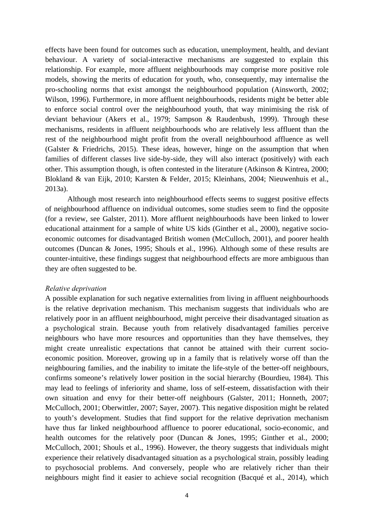effects have been found for outcomes such as education, unemployment, health, and deviant behaviour. A variety of social-interactive mechanisms are suggested to explain this relationship. For example, more affluent neighbourhoods may comprise more positive role models, showing the merits of education for youth, who, consequently, may internalise the pro-schooling norms that exist amongst the neighbourhood population (Ainsworth, 2002; Wilson, 1996). Furthermore, in more affluent neighbourhoods, residents might be better able to enforce social control over the neighbourhood youth, that way minimising the risk of deviant behaviour (Akers et al., 1979; Sampson & Raudenbush, 1999). Through these mechanisms, residents in affluent neighbourhoods who are relatively less affluent than the rest of the neighbourhood might profit from the overall neighbourhood affluence as well (Galster & Friedrichs, 2015). These ideas, however, hinge on the assumption that when families of different classes live side-by-side, they will also interact (positively) with each other. This assumption though, is often contested in the literature (Atkinson & Kintrea, 2000; Blokland & van Eijk, 2010; Karsten & Felder, 2015; Kleinhans, 2004; Nieuwenhuis et al., 2013a).

Although most research into neighbourhood effects seems to suggest positive effects of neighbourhood affluence on individual outcomes, some studies seem to find the opposite (for a review, see Galster, 2011). More affluent neighbourhoods have been linked to lower educational attainment for a sample of white US kids (Ginther et al., 2000), negative socioeconomic outcomes for disadvantaged British women (McCulloch, 2001), and poorer health outcomes (Duncan & Jones, 1995; Shouls et al., 1996). Although some of these results are counter-intuitive, these findings suggest that neighbourhood effects are more ambiguous than they are often suggested to be.

#### *Relative deprivation*

A possible explanation for such negative externalities from living in affluent neighbourhoods is the relative deprivation mechanism. This mechanism suggests that individuals who are relatively poor in an affluent neighbourhood, might perceive their disadvantaged situation as a psychological strain. Because youth from relatively disadvantaged families perceive neighbours who have more resources and opportunities than they have themselves, they might create unrealistic expectations that cannot be attained with their current socioeconomic position. Moreover, growing up in a family that is relatively worse off than the neighbouring families, and the inability to imitate the life-style of the better-off neighbours, confirms someone's relatively lower position in the social hierarchy (Bourdieu, 1984). This may lead to feelings of inferiority and shame, loss of self-esteem, dissatisfaction with their own situation and envy for their better-off neighbours (Galster, 2011; Honneth, 2007; McCulloch, 2001; Oberwittler, 2007; Sayer, 2007). This negative disposition might be related to youth's development. Studies that find support for the relative deprivation mechanism have thus far linked neighbourhood affluence to poorer educational, socio-economic, and health outcomes for the relatively poor (Duncan & Jones, 1995; Ginther et al., 2000; McCulloch, 2001; Shouls et al., 1996). However, the theory suggests that individuals might experience their relatively disadvantaged situation as a psychological strain, possibly leading to psychosocial problems. And conversely, people who are relatively richer than their neighbours might find it easier to achieve social recognition (Bacqué et al., 2014), which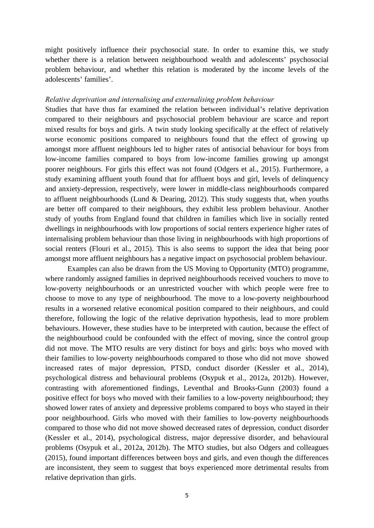might positively influence their psychosocial state. In order to examine this, we study whether there is a relation between neighbourhood wealth and adolescents' psychosocial problem behaviour, and whether this relation is moderated by the income levels of the adolescents' families'.

#### *Relative deprivation and internalising and externalising problem behaviour*

Studies that have thus far examined the relation between individual's relative deprivation compared to their neighbours and psychosocial problem behaviour are scarce and report mixed results for boys and girls. A twin study looking specifically at the effect of relatively worse economic positions compared to neighbours found that the effect of growing up amongst more affluent neighbours led to higher rates of antisocial behaviour for boys from low-income families compared to boys from low-income families growing up amongst poorer neighbours. For girls this effect was not found (Odgers et al., 2015). Furthermore, a study examining affluent youth found that for affluent boys and girl, levels of delinquency and anxiety-depression, respectively, were lower in middle-class neighbourhoods compared to affluent neighbourhoods (Lund & Dearing, 2012). This study suggests that, when youths are better off compared to their neighbours, they exhibit less problem behaviour. Another study of youths from England found that children in families which live in socially rented dwellings in neighbourhoods with low proportions of social renters experience higher rates of internalising problem behaviour than those living in neighbourhoods with high proportions of social renters (Flouri et al., 2015). This is also seems to support the idea that being poor amongst more affluent neighbours has a negative impact on psychosocial problem behaviour.

 Examples can also be drawn from the US Moving to Opportunity (MTO) programme, where randomly assigned families in deprived neighbourhoods received vouchers to move to low-poverty neighbourhoods or an unrestricted voucher with which people were free to choose to move to any type of neighbourhood. The move to a low-poverty neighbourhood results in a worsened relative economical position compared to their neighbours, and could therefore, following the logic of the relative deprivation hypothesis, lead to more problem behaviours. However, these studies have to be interpreted with caution, because the effect of the neighbourhood could be confounded with the effect of moving, since the control group did not move. The MTO results are very distinct for boys and girls: boys who moved with their families to low-poverty neighbourhoods compared to those who did not move showed increased rates of major depression, PTSD, conduct disorder (Kessler et al., 2014), psychological distress and behavioural problems (Osypuk et al., 2012a, 2012b). However, contrasting with aforementioned findings, Leventhal and Brooks-Gunn (2003) found a positive effect for boys who moved with their families to a low-poverty neighbourhood; they showed lower rates of anxiety and depressive problems compared to boys who stayed in their poor neighbourhood. Girls who moved with their families to low-poverty neighbourhoods compared to those who did not move showed decreased rates of depression, conduct disorder (Kessler et al., 2014), psychological distress, major depressive disorder, and behavioural problems (Osypuk et al., 2012a, 2012b). The MTO studies, but also Odgers and colleagues (2015), found important differences between boys and girls, and even though the differences are inconsistent, they seem to suggest that boys experienced more detrimental results from relative deprivation than girls.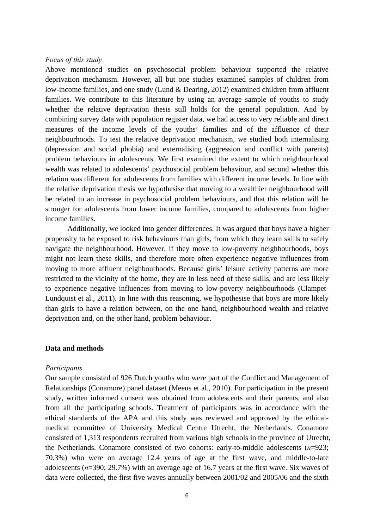#### *Focus of this study*

Above mentioned studies on psychosocial problem behaviour supported the relative deprivation mechanism. However, all but one studies examined samples of children from low-income families, and one study (Lund & Dearing, 2012) examined children from affluent families. We contribute to this literature by using an average sample of youths to study whether the relative deprivation thesis still holds for the general population. And by combining survey data with population register data, we had access to very reliable and direct measures of the income levels of the youths' families and of the affluence of their neighbourhoods. To test the relative deprivation mechanism, we studied both internalising (depression and social phobia) and externalising (aggression and conflict with parents) problem behaviours in adolescents. We first examined the extent to which neighbourhood wealth was related to adolescents' psychosocial problem behaviour, and second whether this relation was different for adolescents from families with different income levels. In line with the relative deprivation thesis we hypothesise that moving to a wealthier neighbourhood will be related to an increase in psychosocial problem behaviours, and that this relation will be stronger for adolescents from lower income families, compared to adolescents from higher income families.

Additionally, we looked into gender differences. It was argued that boys have a higher propensity to be exposed to risk behaviours than girls, from which they learn skills to safely navigate the neighbourhood. However, if they move to low-poverty neighbourhoods, boys might not learn these skills, and therefore more often experience negative influences from moving to more affluent neighbourhoods. Because girls' leisure activity patterns are more restricted to the vicinity of the home, they are in less need of these skills, and are less likely to experience negative influences from moving to low-poverty neighbourhoods (Clampet-Lundquist et al., 2011). In line with this reasoning, we hypothesise that boys are more likely than girls to have a relation between, on the one hand, neighbourhood wealth and relative deprivation and, on the other hand, problem behaviour.

#### **Data and methods**

#### *Participants*

Our sample consisted of 926 Dutch youths who were part of the Conflict and Management of Relationships (Conamore) panel dataset (Meeus et al., 2010). For participation in the present study, written informed consent was obtained from adolescents and their parents, and also from all the participating schools. Treatment of participants was in accordance with the ethical standards of the APA and this study was reviewed and approved by the ethicalmedical committee of University Medical Centre Utrecht, the Netherlands. Conamore consisted of 1,313 respondents recruited from various high schools in the province of Utrecht, the Netherlands. Conamore consisted of two cohorts: early-to-middle adolescents (*n*=923; 70.3%) who were on average 12.4 years of age at the first wave, and middle-to-late adolescents (*n*=390; 29.7%) with an average age of 16.7 years at the first wave. Six waves of data were collected, the first five waves annually between 2001/02 and 2005/06 and the sixth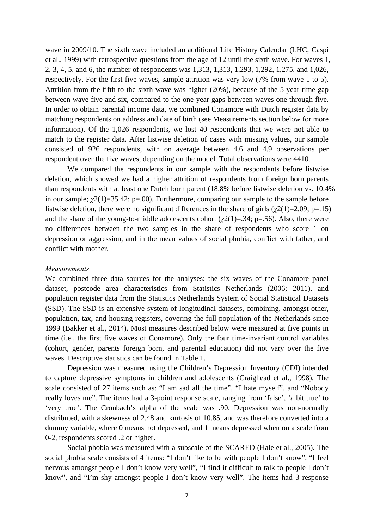wave in 2009/10. The sixth wave included an additional Life History Calendar (LHC; Caspi et al., 1999) with retrospective questions from the age of 12 until the sixth wave. For waves 1, 2, 3, 4, 5, and 6, the number of respondents was 1,313, 1,313, 1,293, 1,292, 1,275, and 1,026, respectively. For the first five waves, sample attrition was very low (7% from wave 1 to 5). Attrition from the fifth to the sixth wave was higher (20%), because of the 5-year time gap between wave five and six, compared to the one-year gaps between waves one through five. In order to obtain parental income data, we combined Conamore with Dutch register data by matching respondents on address and date of birth (see Measurements section below for more information). Of the 1,026 respondents, we lost 40 respondents that we were not able to match to the register data. After listwise deletion of cases with missing values, our sample consisted of 926 respondents, with on average between 4.6 and 4.9 observations per respondent over the five waves, depending on the model. Total observations were 4410.

We compared the respondents in our sample with the respondents before listwise deletion, which showed we had a higher attrition of respondents from foreign born parents than respondents with at least one Dutch born parent (18.8% before listwise deletion vs. 10.4% in our sample;  $\chi^2(1)=35.42$ ; p=.00). Furthermore, comparing our sample to the sample before listwise deletion, there were no significant differences in the share of girls  $(\gamma^2(1)=2.09; p=.15)$ and the share of the young-to-middle adolescents cohort  $(\gamma_2(1)=.34; \, p=.56)$ . Also, there were no differences between the two samples in the share of respondents who score 1 on depression or aggression, and in the mean values of social phobia, conflict with father, and conflict with mother.

#### *Measurements*

We combined three data sources for the analyses: the six waves of the Conamore panel dataset, postcode area characteristics from Statistics Netherlands (2006; 2011), and population register data from the Statistics Netherlands System of Social Statistical Datasets (SSD). The SSD is an extensive system of longitudinal datasets, combining, amongst other, population, tax, and housing registers, covering the full population of the Netherlands since 1999 (Bakker et al., 2014). Most measures described below were measured at five points in time (i.e., the first five waves of Conamore). Only the four time-invariant control variables (cohort, gender, parents foreign born, and parental education) did not vary over the five waves. Descriptive statistics can be found in Table 1.

Depression was measured using the Children's Depression Inventory (CDI) intended to capture depressive symptoms in children and adolescents (Craighead et al., 1998). The scale consisted of 27 items such as: "I am sad all the time", "I hate myself", and "Nobody really loves me". The items had a 3-point response scale, ranging from 'false', 'a bit true' to 'very true'. The Cronbach's alpha of the scale was .90. Depression was non-normally distributed, with a skewness of 2.48 and kurtosis of 10.85, and was therefore converted into a dummy variable, where 0 means not depressed, and 1 means depressed when on a scale from 0-2, respondents scored .2 or higher.

Social phobia was measured with a subscale of the SCARED (Hale et al., 2005). The social phobia scale consists of 4 items: "I don't like to be with people I don't know", "I feel nervous amongst people I don't know very well", "I find it difficult to talk to people I don't know", and "I'm shy amongst people I don't know very well". The items had 3 response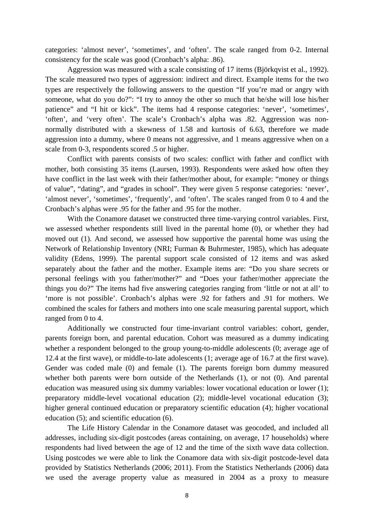categories: 'almost never', 'sometimes', and 'often'. The scale ranged from 0-2. Internal consistency for the scale was good (Cronbach's alpha: .86).

Aggression was measured with a scale consisting of 17 items (Björkqvist et al., 1992). The scale measured two types of aggression: indirect and direct. Example items for the two types are respectively the following answers to the question "If you're mad or angry with someone, what do you do?": "I try to annoy the other so much that he/she will lose his/her patience" and "I hit or kick". The items had 4 response categories: 'never', 'sometimes', 'often', and 'very often'. The scale's Cronbach's alpha was .82. Aggression was nonnormally distributed with a skewness of 1.58 and kurtosis of 6.63, therefore we made aggression into a dummy, where 0 means not aggressive, and 1 means aggressive when on a scale from 0-3, respondents scored .5 or higher.

Conflict with parents consists of two scales: conflict with father and conflict with mother, both consisting 35 items (Laursen, 1993). Respondents were asked how often they have conflict in the last week with their father/mother about, for example: "money or things of value", "dating", and "grades in school". They were given 5 response categories: 'never', 'almost never', 'sometimes', 'frequently', and 'often'. The scales ranged from 0 to 4 and the Cronbach's alphas were .95 for the father and .95 for the mother.

With the Conamore dataset we constructed three time-varying control variables. First, we assessed whether respondents still lived in the parental home (0), or whether they had moved out (1). And second, we assessed how supportive the parental home was using the Network of Relationship Inventory (NRI; Furman & Buhrmester, 1985), which has adequate validity (Edens, 1999). The parental support scale consisted of 12 items and was asked separately about the father and the mother. Example items are: "Do you share secrets or personal feelings with you father/mother?" and "Does your father/mother appreciate the things you do?" The items had five answering categories ranging from 'little or not at all' to 'more is not possible'. Cronbach's alphas were .92 for fathers and .91 for mothers. We combined the scales for fathers and mothers into one scale measuring parental support, which ranged from 0 to 4.

Additionally we constructed four time-invariant control variables: cohort, gender, parents foreign born, and parental education. Cohort was measured as a dummy indicating whether a respondent belonged to the group young-to-middle adolescents (0; average age of 12.4 at the first wave), or middle-to-late adolescents (1; average age of 16.7 at the first wave). Gender was coded male (0) and female (1). The parents foreign born dummy measured whether both parents were born outside of the Netherlands (1), or not (0). And parental education was measured using six dummy variables: lower vocational education or lower (1); preparatory middle-level vocational education (2); middle-level vocational education (3); higher general continued education or preparatory scientific education (4); higher vocational education (5); and scientific education (6).

The Life History Calendar in the Conamore dataset was geocoded, and included all addresses, including six-digit postcodes (areas containing, on average, 17 households) where respondents had lived between the age of 12 and the time of the sixth wave data collection. Using postcodes we were able to link the Conamore data with six-digit postcode-level data provided by Statistics Netherlands (2006; 2011). From the Statistics Netherlands (2006) data we used the average property value as measured in 2004 as a proxy to measure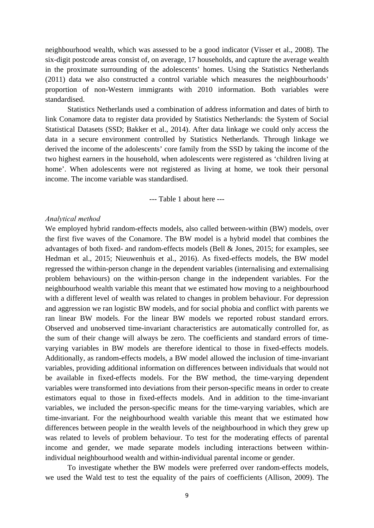neighbourhood wealth, which was assessed to be a good indicator (Visser et al., 2008). The six-digit postcode areas consist of, on average, 17 households, and capture the average wealth in the proximate surrounding of the adolescents' homes. Using the Statistics Netherlands (2011) data we also constructed a control variable which measures the neighbourhoods' proportion of non-Western immigrants with 2010 information. Both variables were standardised.

Statistics Netherlands used a combination of address information and dates of birth to link Conamore data to register data provided by Statistics Netherlands: the System of Social Statistical Datasets (SSD; Bakker et al., 2014). After data linkage we could only access the data in a secure environment controlled by Statistics Netherlands. Through linkage we derived the income of the adolescents' core family from the SSD by taking the income of the two highest earners in the household, when adolescents were registered as 'children living at home'. When adolescents were not registered as living at home, we took their personal income. The income variable was standardised.

--- Table 1 about here ---

#### *Analytical method*

We employed hybrid random-effects models, also called between-within (BW) models, over the first five waves of the Conamore. The BW model is a hybrid model that combines the advantages of both fixed- and random-effects models (Bell & Jones, 2015; for examples, see Hedman et al., 2015; Nieuwenhuis et al., 2016). As fixed-effects models, the BW model regressed the within-person change in the dependent variables (internalising and externalising problem behaviours) on the within-person change in the independent variables. For the neighbourhood wealth variable this meant that we estimated how moving to a neighbourhood with a different level of wealth was related to changes in problem behaviour. For depression and aggression we ran logistic BW models, and for social phobia and conflict with parents we ran linear BW models. For the linear BW models we reported robust standard errors. Observed and unobserved time-invariant characteristics are automatically controlled for, as the sum of their change will always be zero. The coefficients and standard errors of timevarying variables in BW models are therefore identical to those in fixed-effects models. Additionally, as random-effects models, a BW model allowed the inclusion of time-invariant variables, providing additional information on differences between individuals that would not be available in fixed-effects models. For the BW method, the time-varying dependent variables were transformed into deviations from their person-specific means in order to create estimators equal to those in fixed-effects models. And in addition to the time-invariant variables, we included the person-specific means for the time-varying variables, which are time-invariant. For the neighbourhood wealth variable this meant that we estimated how differences between people in the wealth levels of the neighbourhood in which they grew up was related to levels of problem behaviour. To test for the moderating effects of parental income and gender, we made separate models including interactions between withinindividual neighbourhood wealth and within-individual parental income or gender.

 To investigate whether the BW models were preferred over random-effects models, we used the Wald test to test the equality of the pairs of coefficients (Allison, 2009). The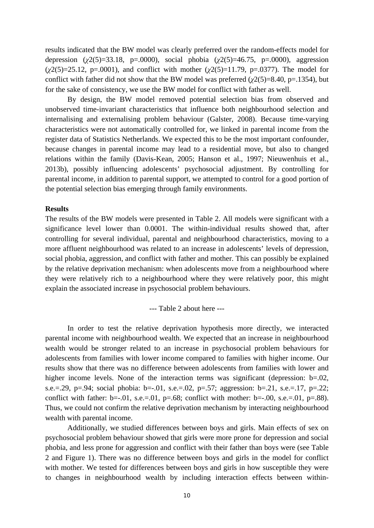results indicated that the BW model was clearly preferred over the random-effects model for depression ( $\chi$ 2(5)=33.18, p=.0000), social phobia ( $\chi$ 2(5)=46.75, p=.0000), aggression (*χ*2(5)=25.12, p=.0001), and conflict with mother (*χ*2(5)=11.79, p=.0377). The model for conflict with father did not show that the BW model was preferred (*χ*2(5)=8.40, p=.1354), but for the sake of consistency, we use the BW model for conflict with father as well.

 By design, the BW model removed potential selection bias from observed and unobserved time-invariant characteristics that influence both neighbourhood selection and internalising and externalising problem behaviour (Galster, 2008). Because time-varying characteristics were not automatically controlled for, we linked in parental income from the register data of Statistics Netherlands. We expected this to be the most important confounder, because changes in parental income may lead to a residential move, but also to changed relations within the family (Davis-Kean, 2005; Hanson et al., 1997; Nieuwenhuis et al., 2013b), possibly influencing adolescents' psychosocial adjustment. By controlling for parental income, in addition to parental support, we attempted to control for a good portion of the potential selection bias emerging through family environments.

#### **Results**

The results of the BW models were presented in Table 2. All models were significant with a significance level lower than 0.0001. The within-individual results showed that, after controlling for several individual, parental and neighbourhood characteristics, moving to a more affluent neighbourhood was related to an increase in adolescents' levels of depression, social phobia, aggression, and conflict with father and mother. This can possibly be explained by the relative deprivation mechanism: when adolescents move from a neighbourhood where they were relatively rich to a neighbourhood where they were relatively poor, this might explain the associated increase in psychosocial problem behaviours.

--- Table 2 about here ---

 In order to test the relative deprivation hypothesis more directly, we interacted parental income with neighbourhood wealth. We expected that an increase in neighbourhood wealth would be stronger related to an increase in psychosocial problem behaviours for adolescents from families with lower income compared to families with higher income. Our results show that there was no difference between adolescents from families with lower and higher income levels. None of the interaction terms was significant (depression: b=.02, s.e.=.29, p=.94; social phobia: b=-.01, s.e.=.02, p=.57; aggression: b=.21, s.e.=.17, p=.22; conflict with father:  $b=-.01$ , s.e.=.01, p=.68; conflict with mother:  $b=-.00$ , s.e.=.01, p=.88). Thus, we could not confirm the relative deprivation mechanism by interacting neighbourhood wealth with parental income.

Additionally, we studied differences between boys and girls. Main effects of sex on psychosocial problem behaviour showed that girls were more prone for depression and social phobia, and less prone for aggression and conflict with their father than boys were (see Table 2 and Figure 1). There was no difference between boys and girls in the model for conflict with mother. We tested for differences between boys and girls in how susceptible they were to changes in neighbourhood wealth by including interaction effects between within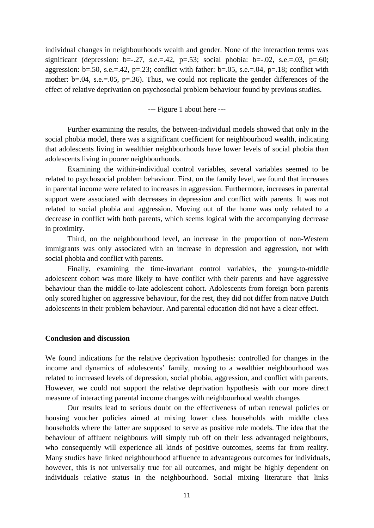individual changes in neighbourhoods wealth and gender. None of the interaction terms was significant (depression:  $b=-.27$ , s.e.  $= .42$ ,  $p=.53$ ; social phobia:  $b=-.02$ , s.e.  $= .03$ ,  $p=.60$ ; aggression:  $b=.50$ , s.e.=.42, p=.23; conflict with father:  $b=.05$ , s.e.=.04, p=.18; conflict with mother:  $b=0.04$ , s.e.= 0.05,  $p=.36$ ). Thus, we could not replicate the gender differences of the effect of relative deprivation on psychosocial problem behaviour found by previous studies.

--- Figure 1 about here ---

Further examining the results, the between-individual models showed that only in the social phobia model, there was a significant coefficient for neighbourhood wealth, indicating that adolescents living in wealthier neighbourhoods have lower levels of social phobia than adolescents living in poorer neighbourhoods.

Examining the within-individual control variables, several variables seemed to be related to psychosocial problem behaviour. First, on the family level, we found that increases in parental income were related to increases in aggression. Furthermore, increases in parental support were associated with decreases in depression and conflict with parents. It was not related to social phobia and aggression. Moving out of the home was only related to a decrease in conflict with both parents, which seems logical with the accompanying decrease in proximity.

Third, on the neighbourhood level, an increase in the proportion of non-Western immigrants was only associated with an increase in depression and aggression, not with social phobia and conflict with parents.

Finally, examining the time-invariant control variables, the young-to-middle adolescent cohort was more likely to have conflict with their parents and have aggressive behaviour than the middle-to-late adolescent cohort. Adolescents from foreign born parents only scored higher on aggressive behaviour, for the rest, they did not differ from native Dutch adolescents in their problem behaviour. And parental education did not have a clear effect.

#### **Conclusion and discussion**

We found indications for the relative deprivation hypothesis: controlled for changes in the income and dynamics of adolescents' family, moving to a wealthier neighbourhood was related to increased levels of depression, social phobia, aggression, and conflict with parents. However, we could not support the relative deprivation hypothesis with our more direct measure of interacting parental income changes with neighbourhood wealth changes

Our results lead to serious doubt on the effectiveness of urban renewal policies or housing voucher policies aimed at mixing lower class households with middle class households where the latter are supposed to serve as positive role models. The idea that the behaviour of affluent neighbours will simply rub off on their less advantaged neighbours, who consequently will experience all kinds of positive outcomes, seems far from reality. Many studies have linked neighbourhood affluence to advantageous outcomes for individuals, however, this is not universally true for all outcomes, and might be highly dependent on individuals relative status in the neighbourhood. Social mixing literature that links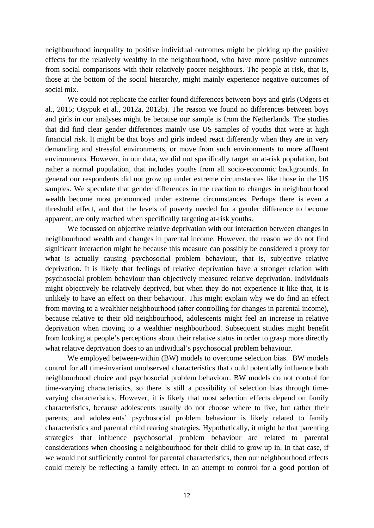neighbourhood inequality to positive individual outcomes might be picking up the positive effects for the relatively wealthy in the neighbourhood, who have more positive outcomes from social comparisons with their relatively poorer neighbours. The people at risk, that is, those at the bottom of the social hierarchy, might mainly experience negative outcomes of social mix.

 We could not replicate the earlier found differences between boys and girls (Odgers et al., 2015; Osypuk et al., 2012a, 2012b). The reason we found no differences between boys and girls in our analyses might be because our sample is from the Netherlands. The studies that did find clear gender differences mainly use US samples of youths that were at high financial risk. It might be that boys and girls indeed react differently when they are in very demanding and stressful environments, or move from such environments to more affluent environments. However, in our data, we did not specifically target an at-risk population, but rather a normal population, that includes youths from all socio-economic backgrounds. In general our respondents did not grow up under extreme circumstances like those in the US samples. We speculate that gender differences in the reaction to changes in neighbourhood wealth become most pronounced under extreme circumstances. Perhaps there is even a threshold effect, and that the levels of poverty needed for a gender difference to become apparent, are only reached when specifically targeting at-risk youths.

 We focussed on objective relative deprivation with our interaction between changes in neighbourhood wealth and changes in parental income. However, the reason we do not find significant interaction might be because this measure can possibly be considered a proxy for what is actually causing psychosocial problem behaviour, that is, subjective relative deprivation. It is likely that feelings of relative deprivation have a stronger relation with psychosocial problem behaviour than objectively measured relative deprivation. Individuals might objectively be relatively deprived, but when they do not experience it like that, it is unlikely to have an effect on their behaviour. This might explain why we do find an effect from moving to a wealthier neighbourhood (after controlling for changes in parental income), because relative to their old neighbourhood, adolescents might feel an increase in relative deprivation when moving to a wealthier neighbourhood. Subsequent studies might benefit from looking at people's perceptions about their relative status in order to grasp more directly what relative deprivation does to an individual's psychosocial problem behaviour.

 We employed between-within (BW) models to overcome selection bias. BW models control for all time-invariant unobserved characteristics that could potentially influence both neighbourhood choice and psychosocial problem behaviour. BW models do not control for time-varying characteristics, so there is still a possibility of selection bias through timevarying characteristics. However, it is likely that most selection effects depend on family characteristics, because adolescents usually do not choose where to live, but rather their parents; and adolescents' psychosocial problem behaviour is likely related to family characteristics and parental child rearing strategies. Hypothetically, it might be that parenting strategies that influence psychosocial problem behaviour are related to parental considerations when choosing a neighbourhood for their child to grow up in. In that case, if we would not sufficiently control for parental characteristics, then our neighbourhood effects could merely be reflecting a family effect. In an attempt to control for a good portion of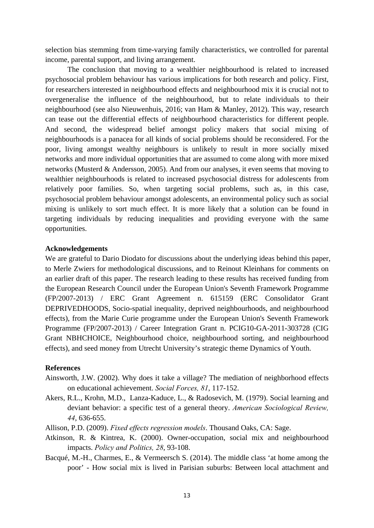selection bias stemming from time-varying family characteristics, we controlled for parental income, parental support, and living arrangement.

 The conclusion that moving to a wealthier neighbourhood is related to increased psychosocial problem behaviour has various implications for both research and policy. First, for researchers interested in neighbourhood effects and neighbourhood mix it is crucial not to overgeneralise the influence of the neighbourhood, but to relate individuals to their neighbourhood (see also Nieuwenhuis, 2016; van Ham & Manley, 2012). This way, research can tease out the differential effects of neighbourhood characteristics for different people. And second, the widespread belief amongst policy makers that social mixing of neighbourhoods is a panacea for all kinds of social problems should be reconsidered. For the poor, living amongst wealthy neighbours is unlikely to result in more socially mixed networks and more individual opportunities that are assumed to come along with more mixed networks (Musterd & Andersson, 2005). And from our analyses, it even seems that moving to wealthier neighbourhoods is related to increased psychosocial distress for adolescents from relatively poor families. So, when targeting social problems, such as, in this case, psychosocial problem behaviour amongst adolescents, an environmental policy such as social mixing is unlikely to sort much effect. It is more likely that a solution can be found in targeting individuals by reducing inequalities and providing everyone with the same opportunities.

#### **Acknowledgements**

We are grateful to Dario Diodato for discussions about the underlying ideas behind this paper. to Merle Zwiers for methodological discussions, and to Reinout Kleinhans for comments on an earlier draft of this paper. The research leading to these results has received funding from the European Research Council under the European Union's Seventh Framework Programme (FP/2007-2013) / ERC Grant Agreement n. 615159 (ERC Consolidator Grant DEPRIVEDHOODS, Socio-spatial inequality, deprived neighbourhoods, and neighbourhood effects), from the Marie Curie programme under the European Union's Seventh Framework Programme (FP/2007-2013) / Career Integration Grant n. PCIG10-GA-2011-303728 (CIG Grant NBHCHOICE, Neighbourhood choice, neighbourhood sorting, and neighbourhood effects), and seed money from Utrecht University's strategic theme Dynamics of Youth.

#### **References**

- Ainsworth, J.W. (2002). Why does it take a village? The mediation of neighborhood effects on educational achievement. *Social Forces, 81*, 117-152.
- Akers, R.L., Krohn, M.D., Lanza-Kaduce, L., & Radosevich, M. (1979). Social learning and deviant behavior: a specific test of a general theory. *American Sociological Review, 44*, 636-655.
- Allison, P.D. (2009). *Fixed effects regression models*. Thousand Oaks, CA: Sage.
- Atkinson, R. & Kintrea, K. (2000). Owner-occupation, social mix and neighbourhood impacts. *Policy and Politics, 28*, 93-108.
- Bacqué, M.-H., Charmes, E., & Vermeersch S. (2014). The middle class 'at home among the poor' - How social mix is lived in Parisian suburbs: Between local attachment and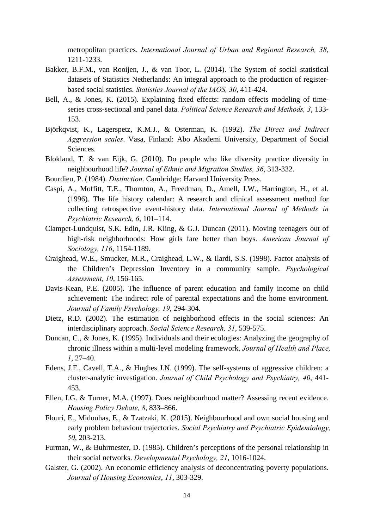metropolitan practices. *International Journal of Urban and Regional Research, 38*, 1211-1233.

- Bakker, B.F.M., van Rooijen, J., & van Toor, L. (2014). The System of social statistical datasets of Statistics Netherlands: An integral approach to the production of registerbased social statistics. *Statistics Journal of the IAOS, 30*, 411-424.
- Bell, A., & Jones, K. (2015). Explaining fixed effects: random effects modeling of timeseries cross-sectional and panel data. *Political Science Research and Methods, 3*, 133- 153.
- Björkqvist, K., Lagerspetz, K.M.J., & Osterman, K. (1992). *The Direct and Indirect Aggression scales*. Vasa, Finland: Abo Akademi University, Department of Social Sciences.
- Blokland, T. & van Eijk, G. (2010). Do people who like diversity practice diversity in neighbourhood life? *Journal of Ethnic and Migration Studies, 36*, 313-332.
- Bourdieu, P. (1984). *Distinction*. Cambridge: Harvard University Press.
- Caspi, A., Moffitt, T.E., Thornton, A., Freedman, D., Amell, J.W., Harrington, H., et al. (1996). The life history calendar: A research and clinical assessment method for collecting retrospective event-history data. *International Journal of Methods in Psychiatric Research, 6*, 101–114.
- Clampet-Lundquist, S.K. Edin, J.R. Kling, & G.J. Duncan (2011). Moving teenagers out of high-risk neighborhoods: How girls fare better than boys. *American Journal of Sociology, 116*, 1154-1189.
- Craighead, W.E., Smucker, M.R., Craighead, L.W., & Ilardi, S.S. (1998). Factor analysis of the Children's Depression Inventory in a community sample. *Psychological Assessment, 10*, 156-165.
- Davis-Kean, P.E. (2005). The influence of parent education and family income on child achievement: The indirect role of parental expectations and the home environment. *Journal of Family Psychology, 19*, 294-304.
- Dietz, R.D. (2002). The estimation of neighborhood effects in the social sciences: An interdisciplinary approach. *Social Science Research, 31*, 539-575.
- Duncan, C., & Jones, K. (1995). Individuals and their ecologies: Analyzing the geography of chronic illness within a multi-level modeling framework. *Journal of Health and Place, 1*, 27–40.
- Edens, J.F., Cavell, T.A., & Hughes J.N. (1999). The self-systems of aggressive children: a cluster-analytic investigation. *Journal of Child Psychology and Psychiatry, 40*, 441- 453.
- Ellen, I.G. & Turner, M.A. (1997). Does neighbourhood matter? Assessing recent evidence. *Housing Policy Debate, 8*, 833–866.
- Flouri, E., Midouhas, E., & Tzatzaki, K. (2015). Neighbourhood and own social housing and early problem behaviour trajectories. *Social Psychiatry and Psychiatric Epidemiology, 50*, 203-213.
- Furman, W., & Buhrmester, D. (1985). Children's perceptions of the personal relationship in their social networks. *Developmental Psychology, 21*, 1016-1024.
- Galster, G. (2002). An economic efficiency analysis of deconcentrating poverty populations. *Journal of Housing Economics*, *11*, 303-329.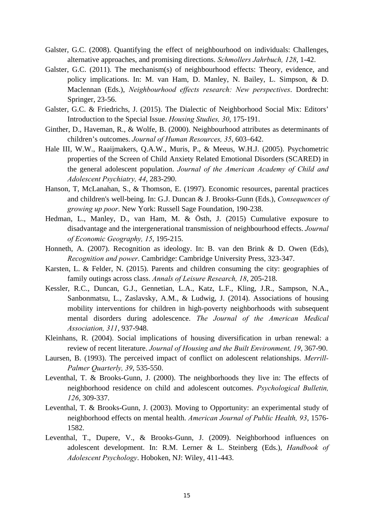- Galster, G.C. (2008). Quantifying the effect of neighbourhood on individuals: Challenges, alternative approaches, and promising directions. *Schmollers Jahrbuch, 128*, 1-42.
- Galster, G.C. (2011). The mechanism(s) of neighbourhood effects: Theory, evidence, and policy implications. In: M. van Ham, D. Manley, N. Bailey, L. Simpson, & D. Maclennan (Eds.), *Neighbourhood effects research: New perspectives*. Dordrecht: Springer, 23-56.
- Galster, G.C. & Friedrichs, J. (2015). The Dialectic of Neighborhood Social Mix: Editors' Introduction to the Special Issue. *Housing Studies, 30*, 175-191.
- Ginther, D., Haveman, R., & Wolfe, B. (2000). Neighbourhood attributes as determinants of children's outcomes. *Journal of Human Resources, 35*, 603–642.
- Hale III, W.W., Raaijmakers, Q.A.W., Muris, P., & Meeus, W.H.J. (2005). Psychometric properties of the Screen of Child Anxiety Related Emotional Disorders (SCARED) in the general adolescent population. *Journal of the American Academy of Child and Adolescent Psychiatry, 44*, 283-290.
- Hanson, T, McLanahan, S., & Thomson, E. (1997). Economic resources, parental practices and children's well-being. In: G.J. Duncan & J. Brooks-Gunn (Eds.), *Consequences of growing up poor*. New York: Russell Sage Foundation, 190-238.
- Hedman, L., Manley, D., van Ham, M. & Östh, J. (2015) Cumulative exposure to disadvantage and the intergenerational transmission of neighbourhood effects. *Journal of Economic Geography, 15*, 195-215.
- Honneth, A. (2007). Recognition as ideology. In: B. van den Brink & D. Owen (Eds), *Recognition and power*. Cambridge: Cambridge University Press, 323-347.
- Karsten, L. & Felder, N. (2015). Parents and children consuming the city: geographies of family outings across class. *Annals of Leisure Research, 18*, 205-218.
- Kessler, R.C., Duncan, G.J., Gennetian, L.A., Katz, L.F., Kling, J.R., Sampson, N.A., Sanbonmatsu, L., Zaslavsky, A.M., & Ludwig, J. (2014). Associations of housing mobility interventions for children in high-poverty neighborhoods with subsequent mental disorders during adolescence. *The Journal of the American Medical Association, 311*, 937-948.
- Kleinhans, R. (2004). Social implications of housing diversification in urban renewal: a review of recent literature. *Journal of Housing and the Built Environment, 19*, 367-90.
- Laursen, B. (1993). The perceived impact of conflict on adolescent relationships. *Merrill-Palmer Quarterly, 39*, 535-550.
- Leventhal, T. & Brooks-Gunn, J. (2000). The neighborhoods they live in: The effects of neighborhood residence on child and adolescent outcomes. *Psychological Bulletin, 126*, 309-337.
- Leventhal, T. & Brooks-Gunn, J. (2003). Moving to Opportunity: an experimental study of neighborhood effects on mental health. *American Journal of Public Health, 93*, 1576- 1582.
- Leventhal, T., Dupere, V., & Brooks-Gunn, J. (2009). Neighborhood influences on adolescent development. In: R.M. Lerner & L. Steinberg (Eds.), *Handbook of Adolescent Psychology*. Hoboken, NJ: Wiley, 411-443.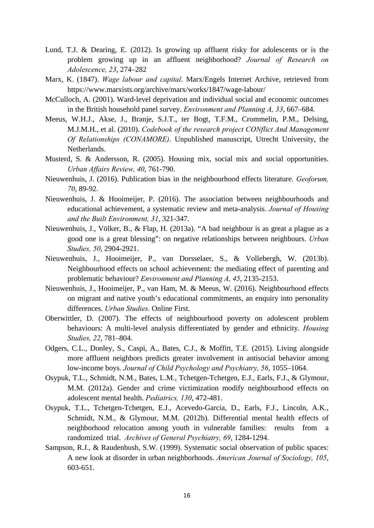- Lund, T.J. & Dearing, E. (2012). Is growing up affluent risky for adolescents or is the problem growing up in an affluent neighborhood? *Journal of Research on Adolescence, 23*, 274–282
- Marx, K. (1847). *Wage labour and capital*. Marx/Engels Internet Archive, retrieved from https://www.marxists.org/archive/marx/works/1847/wage-labour/
- McCulloch, A. (2001). Ward-level deprivation and individual social and economic outcomes in the British household panel survey. *Environment and Planning A, 33*, 667–684.
- Meeus, W.H.J., Akse, J., Branje, S.J.T., ter Bogt, T.F.M., Crommelin, P.M., Delsing, M.J.M.H., et al. (2010). *Codebook of the research project CONflict And Management Of Relationships (CONAMORE)*. Unpublished manuscript, Utrecht University, the Netherlands.
- Musterd, S. & Andersson, R. (2005). Housing mix, social mix and social opportunities. *Urban Affairs Review, 40*, 761-790.
- Nieuwenhuis, J. (2016). Publication bias in the neighbourhood effects literature. *Geoforum, 70*, 89-92.
- Nieuwenhuis, J. & Hooimeijer, P. (2016). The association between neighbourhoods and educational achievement, a systematic review and meta-analysis. *Journal of Housing and the Built Environment, 31*, 321-347.
- Nieuwenhuis, J., Völker, B., & Flap, H. (2013a). "A bad neighbour is as great a plague as a good one is a great blessing": on negative relationships between neighbours. *Urban Studies, 50*, 2904-2921.
- Nieuwenhuis, J., Hooimeijer, P., van Dorsselaer, S., & Vollebergh, W. (2013b). Neighbourhood effects on school achievement: the mediating effect of parenting and problematic behaviour? *Environment and Planning A, 45*, 2135-2153.
- Nieuwenhuis, J., Hooimeijer, P., van Ham, M. & Meeus, W. (2016). Neighbourhood effects on migrant and native youth's educational commitments, an enquiry into personality differences. *Urban Studies*. Online First.
- Oberwittler, D. (2007). The effects of neighbourhood poverty on adolescent problem behaviours: A multi-level analysis differentiated by gender and ethnicity. *Housing Studies, 22*, 781–804.
- Odgers, C.L., Donley, S., Caspi, A., Bates, C.J., & Moffitt, T.E. (2015). Living alongside more affluent neighbors predicts greater involvement in antisocial behavior among low-income boys. *Journal of Child Psychology and Psychiatry, 56*, 1055–1064.
- Osypuk, T.L., Schmidt, N.M., Bates, L.M., Tchetgen-Tchetgen, E.J., Earls, F.J., & Glymour, M.M. (2012a). Gender and crime victimization modify neighbourhood effects on adolescent mental health. *Pediatrics, 130*, 472-481.
- Osypuk, T.L., Tchetgen-Tchetgen, E.J., Acevedo-Garcia, D., Earls, F.J., Lincoln, A.K., Schmidt, N.M., & Glymour, M.M. (2012b). Differential mental health effects of neighborhood relocation among youth in vulnerable families: results from a randomized trial. *Archives of General Psychiatry, 69*, 1284-1294.
- Sampson, R.J., & Raudenbush, S.W. (1999). Systematic social observation of public spaces: A new look at disorder in urban neighborhoods. *American Journal of Sociology, 105*, 603-651.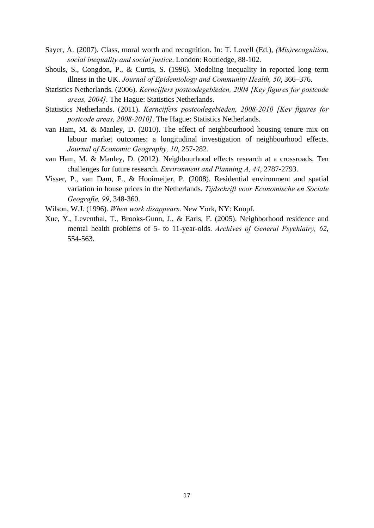- Sayer, A. (2007). Class, moral worth and recognition. In: T. Lovell (Ed.), *(Mis)recognition, social inequality and social justice*. London: Routledge, 88-102.
- Shouls, S., Congdon, P., & Curtis, S. (1996). Modeling inequality in reported long term illness in the UK. *Journal of Epidemiology and Community Health, 50*, 366–376.
- Statistics Netherlands. (2006). *Kerncijfers postcodegebieden, 2004 [Key figures for postcode areas, 2004]*. The Hague: Statistics Netherlands.
- Statistics Netherlands. (2011). *Kerncijfers postcodegebieden, 2008-2010 [Key figures for postcode areas, 2008-2010]*. The Hague: Statistics Netherlands.
- van Ham, M. & Manley, D. (2010). The effect of neighbourhood housing tenure mix on labour market outcomes: a longitudinal investigation of neighbourhood effects. *Journal of Economic Geography, 10*, 257-282.
- van Ham, M. & Manley, D. (2012). Neighbourhood effects research at a crossroads. Ten challenges for future research. *Environment and Planning A, 44*, 2787-2793.
- Visser, P., van Dam, F., & Hooimeijer, P. (2008). Residential environment and spatial variation in house prices in the Netherlands. *Tijdschrift voor Economische en Sociale Geografie, 99*, 348-360.
- Wilson, W.J. (1996). *When work disappears*. New York, NY: Knopf.
- Xue, Y., Leventhal, T., Brooks-Gunn, J., & Earls, F. (2005). Neighborhood residence and mental health problems of 5- to 11-year-olds. *Archives of General Psychiatry, 62*, 554-563.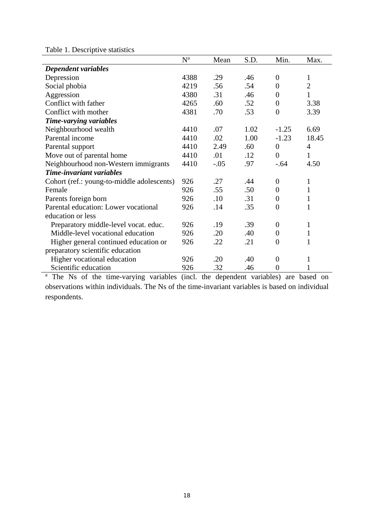|--|

|                                            | $N^a$ | Mean   | S.D. | Min.             | Max.           |
|--------------------------------------------|-------|--------|------|------------------|----------------|
| Dependent variables                        |       |        |      |                  |                |
| Depression                                 | 4388  | .29    | .46  | $\overline{0}$   | 1              |
| Social phobia                              | 4219  | .56    | .54  | $\boldsymbol{0}$ | $\overline{2}$ |
| Aggression                                 | 4380  | .31    | .46  | $\boldsymbol{0}$ | $\mathbf{1}$   |
| Conflict with father                       | 4265  | .60    | .52  | $\boldsymbol{0}$ | 3.38           |
| Conflict with mother                       | 4381  | .70    | .53  | $\overline{0}$   | 3.39           |
| Time-varying variables                     |       |        |      |                  |                |
| Neighbourhood wealth                       | 4410  | .07    | 1.02 | $-1.25$          | 6.69           |
| Parental income                            | 4410  | .02    | 1.00 | $-1.23$          | 18.45          |
| Parental support                           | 4410  | 2.49   | .60  | $\overline{0}$   | $\overline{4}$ |
| Move out of parental home                  | 4410  | .01    | .12  | $\overline{0}$   | 1              |
| Neighbourhood non-Western immigrants       | 4410  | $-.05$ | .97  | $-.64$           | 4.50           |
| Time-invariant variables                   |       |        |      |                  |                |
| Cohort (ref.: young-to-middle adolescents) | 926   | .27    | .44  | $\overline{0}$   | $\mathbf{1}$   |
| Female                                     | 926   | .55    | .50  | $\overline{0}$   | 1              |
| Parents foreign born                       | 926   | .10    | .31  | $\overline{0}$   | 1              |
| Parental education: Lower vocational       | 926   | .14    | .35  | $\overline{0}$   | 1              |
| education or less                          |       |        |      |                  |                |
| Preparatory middle-level vocat. educ.      | 926   | .19    | .39  | $\boldsymbol{0}$ | $\mathbf{1}$   |
| Middle-level vocational education          | 926   | .20    | .40  | $\overline{0}$   | 1              |
| Higher general continued education or      | 926   | .22    | .21  | $\overline{0}$   | 1              |
| preparatory scientific education           |       |        |      |                  |                |
| Higher vocational education                | 926   | .20    | .40  | $\overline{0}$   | 1              |
| Scientific education                       | 926   | .32    | .46  | $\overline{0}$   | 1              |

<sup>a</sup> The Ns of the time-varying variables (incl. the dependent variables) are based on observations within individuals. The Ns of the time-invariant variables is based on individual respondents.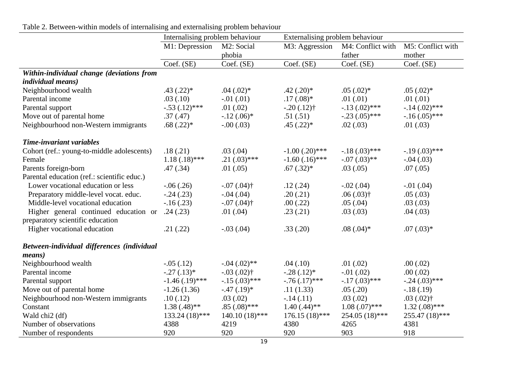|                                             | Internalising problem behaviour |                            | Externalising problem behaviour |                   |                   |
|---------------------------------------------|---------------------------------|----------------------------|---------------------------------|-------------------|-------------------|
|                                             | M1: Depression                  | M2: Social                 | M3: Aggression                  | M4: Conflict with | M5: Conflict with |
|                                             |                                 | phobia                     |                                 | father            | mother            |
|                                             | Coef. (SE)                      | Coef. (SE)                 | Coef. (SE)                      | Coef. (SE)        | Coef. (SE)        |
| Within-individual change (deviations from   |                                 |                            |                                 |                   |                   |
| <i>individual means)</i>                    |                                 |                            |                                 |                   |                   |
| Neighbourhood wealth                        | $.43$ $(.22)*$                  | $.04(.02)$ *               | $.42(.20)*$                     | $.05(.02)*$       | $.05(.02)$ *      |
| Parental income                             | .03(.10)                        | $-0.01$ $(0.01)$           | $.17(.08)*$                     | .01(0.01)         | .01(.01)          |
| Parental support                            | $-.53(.12)$ ***                 | .01(.02)                   | $-.20(.12)$ †                   | $-.13(.02)$ ***   | $-.14(.02)$ ***   |
| Move out of parental home                   | .37(.47)                        | $-12(.06)^*$               | .51(.51)                        | $-.23(.05)$ ***   | $-.16(.05)$ ***   |
| Neighbourhood non-Western immigrants        | $.68(.22)*$                     | $-.00(.03)$                | $.45(.22)*$                     | .02(.03)          | .01(.03)          |
| Time-invariant variables                    |                                 |                            |                                 |                   |                   |
| Cohort (ref.: young-to-middle adolescents)  | .18(.21)                        | .03(0.04)                  | $-1.00$ (.20)***                | $-18(.03)$ ***    | $-19(0.03)$ ***   |
| Female                                      | $1.18(.18)$ ***                 | $.21(.03)$ ***             | $-1.60$ $(.16)$ ***             | $-.07(.03)$ **    | $-.04(.03)$       |
| Parents foreign-born                        | .47(.34)                        | .01(.05)                   | $.67(.32)*$                     | .03(.05)          | .07(.05)          |
| Parental education (ref.: scientific educ.) |                                 |                            |                                 |                   |                   |
| Lower vocational education or less          | $-.06(.26)$                     | $-.07(.04)$ †              | .12(.24)                        | $-.02(.04)$       | $-.01(.04)$       |
| Preparatory middle-level vocat. educ.       | $-.24(.23)$                     | $-0.04$ (.04)              | .20(.21)                        | $.06(.03)$ †      | .05(.03)          |
| Middle-level vocational education           | $-16(0.23)$                     | $-0.07$ (.04) <sup>†</sup> | .00(.22)                        | .05(.04)          | .03(0.03)         |
| Higher general continued education or       | .24(.23)                        | .01(.04)                   | .23(.21)                        | .03(0.03)         | .04(.03)          |
| preparatory scientific education            |                                 |                            |                                 |                   |                   |
| Higher vocational education                 | .21(.22)                        | $-.03(.04)$                | .33(.20)                        | $.08(.04)$ *      | $.07(.03)*$       |
| Between-individual differences (individual  |                                 |                            |                                 |                   |                   |
| <i>means</i> )                              |                                 |                            |                                 |                   |                   |
| Neighbourhood wealth                        | $-.05(.12)$                     | $-.04(.02)$ **             | .04(.10)                        | .01(.02)          | .00(.02)          |
| Parental income                             | $-.27(.13)*$                    | $-.03(.02)$ †              | $-.28(.12)*$                    | $-.01(.02)$       | .00(.02)          |
| Parental support                            | $-1.46$ (.19)***                | $-.15(.03)$ ***            | $-.76(.17)$ ***                 | $-.17(.03)$ ***   | $-.24(.03)$ ***   |
| Move out of parental home                   | $-1.26(1.36)$                   | $-.47(.19)*$               | .11(1.33)                       | .05(.20)          | $-.18(.19)$       |
| Neighbourhood non-Western immigrants        | .10(.12)                        | .03(.02)                   | $-.14(.11)$                     | .03(.02)          | $.03(.02)$ †      |
| Constant                                    | $1.38(.48)$ **                  | $.85(.08)$ ***             | $1.40(.44)$ **                  | $1.08(.07)$ ***   | $1.32(0.08)$ ***  |
| Wald chi <sub>2</sub> (df)                  | 133.24 (18)***                  | $140.10(18)$ ***           | $176.15(18)$ ***                | 254.05 (18)***    | $255.47(18)$ ***  |
| Number of observations                      | 4388                            | 4219                       | 4380                            | 4265              | 4381              |
| Number of respondents                       | 920                             | 920                        | 920                             | 903               | 918               |

|  |  |  |  | Table 2. Between-within models of internalising and externalising problem behaviour |  |  |
|--|--|--|--|-------------------------------------------------------------------------------------|--|--|
|  |  |  |  |                                                                                     |  |  |
|  |  |  |  |                                                                                     |  |  |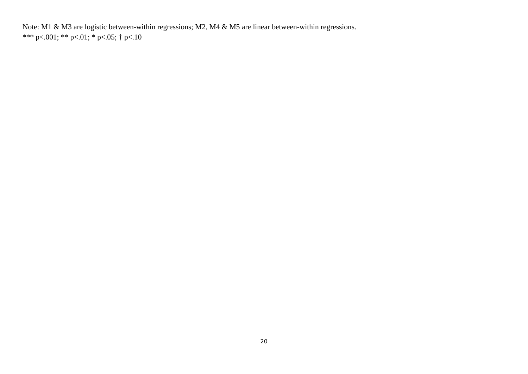Note: M1 & M3 are logistic between-within regressions; M2, M4 & M5 are linear between-within regressions. \*\*\* p<.001; \*\* p<.01; \* p<.05; † p<.10